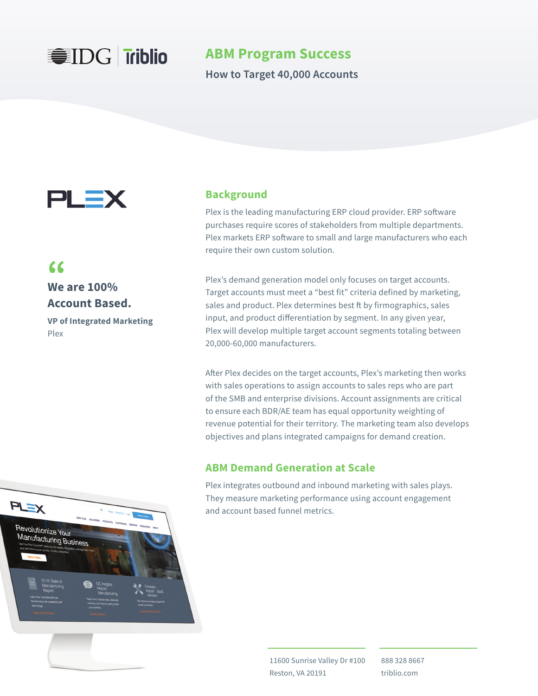

**ABM Program Success**

**How to Target 40,000 Accounts**



# **66**<br>We are 100% **Account Based.**

**VP of Integrated Marketing**  Plex

### **Background**

Plex is the leading manufacturing ERP cloud provider. ERP software purchases require scores of stakeholders from multiple departments. Plex markets ERP software to small and large manufacturers who each require their own custom solution.

Plex's demand generation model only focuses on target accounts. Target accounts must meet a "best fit" criteria defined by marketing, sales and product. Plex determines best ft by firmographics, sales input, and product differentiation by segment. In any given year, Plex will develop multiple target account segments totaling between 20,000-60,000 manufacturers.

After Plex decides on the target accounts, Plex's marketing then works with sales operations to assign accounts to sales reps who are part of the SMB and enterprise divisions. Account assignments are critical to ensure each BDR/AE team has equal opportunity weighting of revenue potential for their territory. The marketing team also develops objectives and plans integrated campaigns for demand creation.

### **ABM Demand Generation at Scale**

Plex integrates outbound and inbound marketing with sales plays. They measure marketing performance using account engagement and account based funnel metrics.

> 11600 Sunrise Valley Dr #100 Reston, VA 20191

888 328 8667 triblio.com